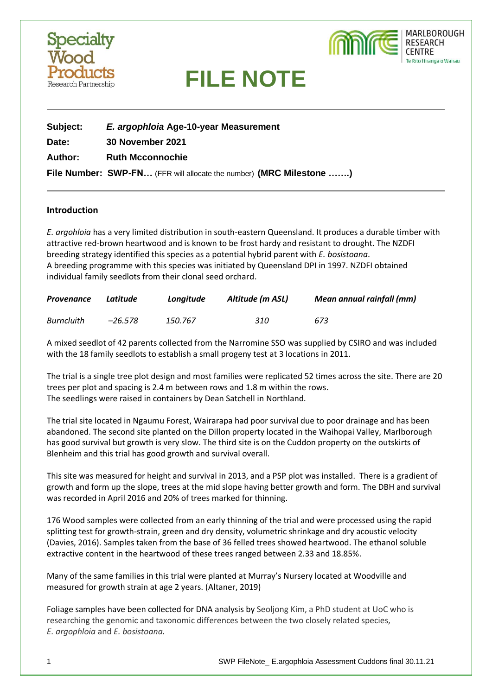



| Subject:       | E. argophloia Age-10-year Measurement                               |  |  |
|----------------|---------------------------------------------------------------------|--|--|
| Date:          | 30 November 2021                                                    |  |  |
| <b>Author:</b> | <b>Ruth Mcconnochie</b>                                             |  |  |
|                | File Number: SWP-FN (FFR will allocate the number) (MRC Milestone ) |  |  |

#### **Introduction**

*E. argohloia* has a very limited distribution in south-eastern Queensland. It produces a durable timber with attractive red-brown heartwood and is known to be frost hardy and resistant to drought. The NZDFI breeding strategy identified this species as a potential hybrid parent with *E. bosistoana*. A breeding programme with this species was initiated by Queensland DPI in 1997. NZDFI obtained individual family seedlots from their clonal seed orchard.

| Provenance | Latitude | Lonaitude | Altitude (m ASL) | <b>Mean annual rainfall (mm)</b> |
|------------|----------|-----------|------------------|----------------------------------|
| Burncluith | –26.578  | 150.767   | 310              | 673                              |

A mixed seedlot of 42 parents collected from the Narromine SSO was supplied by CSIRO and was included with the 18 family seedlots to establish a small progeny test at 3 locations in 2011.

The trial is a single tree plot design and most families were replicated 52 times across the site. There are 20 trees per plot and spacing is 2.4 m between rows and 1.8 m within the rows. The seedlings were raised in containers by Dean Satchell in Northland.

The trial site located in Ngaumu Forest, Wairarapa had poor survival due to poor drainage and has been abandoned. The second site planted on the Dillon property located in the Waihopai Valley, Marlborough has good survival but growth is very slow. The third site is on the Cuddon property on the outskirts of Blenheim and this trial has good growth and survival overall.

This site was measured for height and survival in 2013, and a PSP plot was installed. There is a gradient of growth and form up the slope, trees at the mid slope having better growth and form. The DBH and survival was recorded in April 2016 and 20% of trees marked for thinning.

176 Wood samples were collected from an early thinning of the trial and were processed using the rapid splitting test for growth-strain, green and dry density, volumetric shrinkage and dry acoustic velocity (Davies, 2016). Samples taken from the base of 36 felled trees showed heartwood. The ethanol soluble extractive content in the heartwood of these trees ranged between 2.33 and 18.85%.

Many of the same families in this trial were planted at Murray's Nursery located at Woodville and measured for growth strain at age 2 years. (Altaner, 2019)

Foliage samples have been collected for DNA analysis by Seoljong Kim, a PhD student at UoC who is researching the genomic and taxonomic differences between the two closely related species, *E. argophloia* and *E. bosistoana.*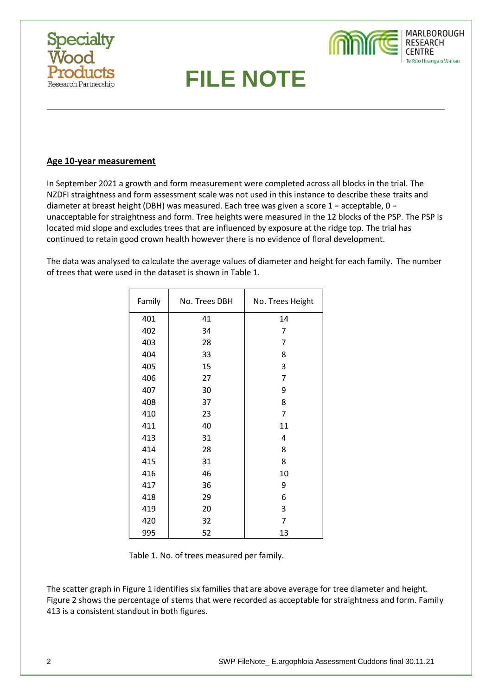



### **Age 10-year measurement**

In September 2021 a growth and form measurement were completed across all blocks in the trial. The NZDFI straightness and form assessment scale was not used in this instance to describe these traits and diameter at breast height (DBH) was measured. Each tree was given a score  $1$  = acceptable,  $0$  = unacceptable for straightness and form. Tree heights were measured in the 12 blocks of the PSP. The PSP is located mid slope and excludes trees that are influenced by exposure at the ridge top. The trial has continued to retain good crown health however there is no evidence of floral development.

The data was analysed to calculate the average values of diameter and height for each family. The number of trees that were used in the dataset is shown in Table 1.

| Family | No. Trees DBH | No. Trees Height |
|--------|---------------|------------------|
| 401    | 41            | 14               |
| 402    | 34            | 7                |
| 403    | 28            | 7                |
| 404    | 33            | 8                |
| 405    | 15            | 3                |
| 406    | 27            | $\overline{7}$   |
| 407    | 30            | 9                |
| 408    | 37            | 8                |
| 410    | 23            | 7                |
| 411    | 40            | 11               |
| 413    | 31            | 4                |
| 414    | 28            | 8                |
| 415    | 31            | 8                |
| 416    | 46            | 10               |
| 417    | 36            | 9                |
| 418    | 29            | 6                |
| 419    | 20            | 3                |
| 420    | 32            | 7                |
| 995    | 52            | 13               |

Table 1. No. of trees measured per family.

The scatter graph in Figure 1 identifies six families that are above average for tree diameter and height. Figure 2 shows the percentage of stems that were recorded as acceptable for straightness and form. Family 413 is a consistent standout in both figures.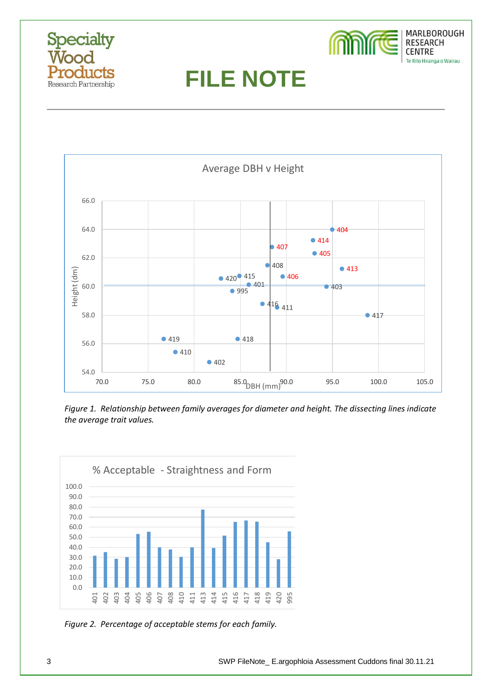





*Figure 1. Relationship between family averages for diameter and height. The dissecting lines indicate the average trait values.*



*Figure 2. Percentage of acceptable stems for each family.*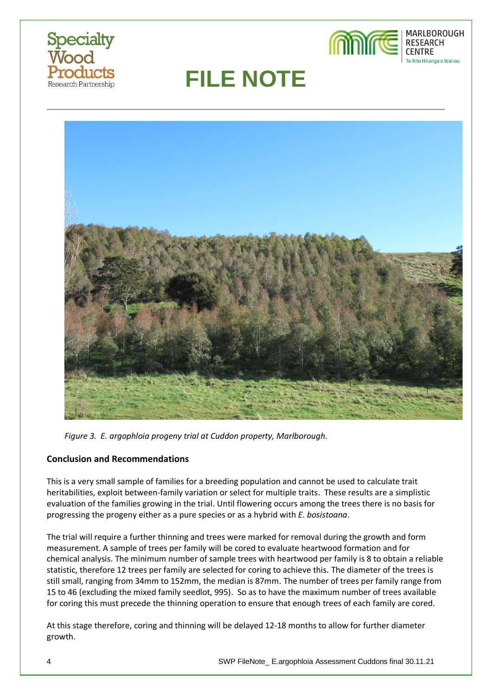





*Figure 3. E. argophloia progeny trial at Cuddon property, Marlborough.*

## **Conclusion and Recommendations**

This is a very small sample of families for a breeding population and cannot be used to calculate trait heritabilities, exploit between-family variation or select for multiple traits. These results are a simplistic evaluation of the families growing in the trial. Until flowering occurs among the trees there is no basis for progressing the progeny either as a pure species or as a hybrid with *E. bosistoana*.

The trial will require a further thinning and trees were marked for removal during the growth and form measurement. A sample of trees per family will be cored to evaluate heartwood formation and for chemical analysis. The minimum number of sample trees with heartwood per family is 8 to obtain a reliable statistic, therefore 12 trees per family are selected for coring to achieve this. The diameter of the trees is still small, ranging from 34mm to 152mm, the median is 87mm. The number of trees per family range from 15 to 46 (excluding the mixed family seedlot, 995). So as to have the maximum number of trees available for coring this must precede the thinning operation to ensure that enough trees of each family are cored.

At this stage therefore, coring and thinning will be delayed 12-18 months to allow for further diameter growth.